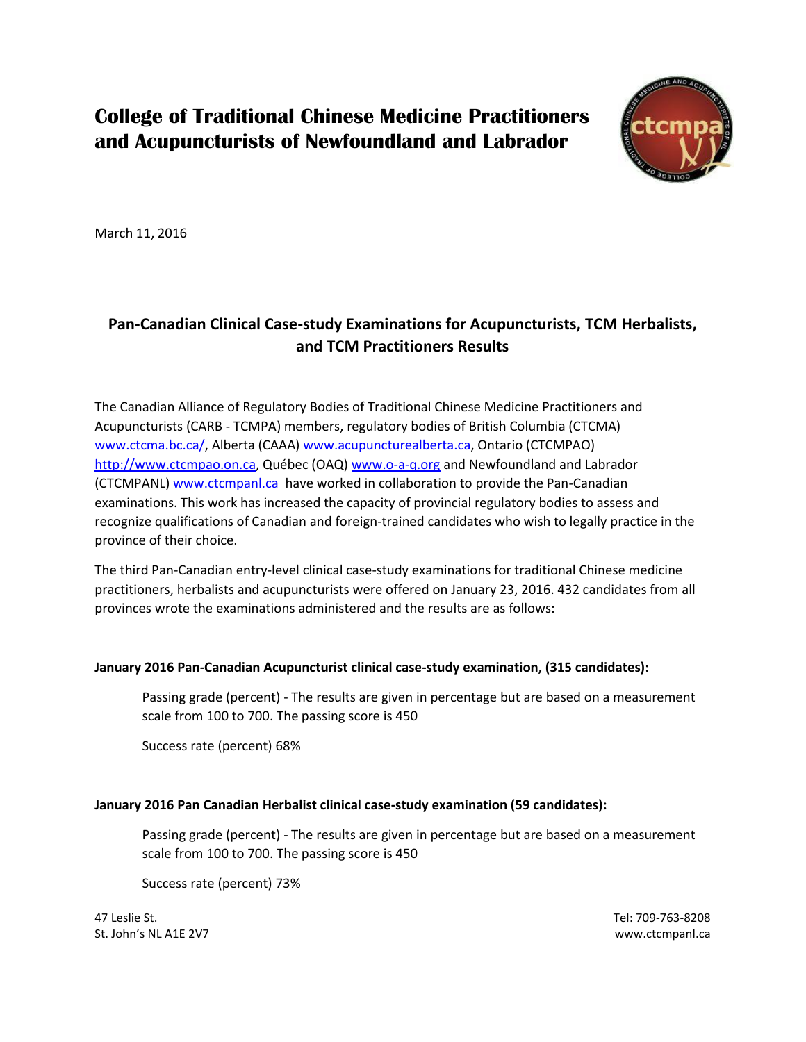## **College of Traditional Chinese Medicine Practitioners and Acupuncturists of Newfoundland and Labrador**



March 11, 2016

## **Pan-Canadian Clinical Case-study Examinations for Acupuncturists, TCM Herbalists, and TCM Practitioners Results**

The Canadian Alliance of Regulatory Bodies of Traditional Chinese Medicine Practitioners and Acupuncturists (CARB - TCMPA) members, regulatory bodies of British Columbia (CTCMA) [www.ctcma.bc.ca/,](http://www.ctcma.bc.ca/) Alberta (CAAA) [www.acupuncturealberta.ca,](http://www.acupuncturealberta.ca/) Ontario (CTCMPAO) [http://www.ctcmpao.on.ca,](http://www.ctcmpao.on.ca/) Québec (OAQ) [www.o-a-q.org](http://www.o-a-q.org/) and Newfoundland and Labrador (CTCMPANL[\) www.ctcmpanl.ca](http://www.ctcmpanl.ca/) have worked in collaboration to provide the Pan-Canadian examinations. This work has increased the capacity of provincial regulatory bodies to assess and recognize qualifications of Canadian and foreign-trained candidates who wish to legally practice in the province of their choice.

The third Pan-Canadian entry-level clinical case-study examinations for traditional Chinese medicine practitioners, herbalists and acupuncturists were offered on January 23, 2016. 432 candidates from all provinces wrote the examinations administered and the results are as follows:

## **January 2016 Pan-Canadian Acupuncturist clinical case-study examination, (315 candidates):**

Passing grade (percent) - The results are given in percentage but are based on a measurement scale from 100 to 700. The passing score is 450

Success rate (percent) 68%

## **January 2016 Pan Canadian Herbalist clinical case-study examination (59 candidates):**

Passing grade (percent) - The results are given in percentage but are based on a measurement scale from 100 to 700. The passing score is 450

Success rate (percent) 73%

47 Leslie St. Tel: 709-763-8208 St. John's NL A1E 2V7 www.ctcmpanl.ca